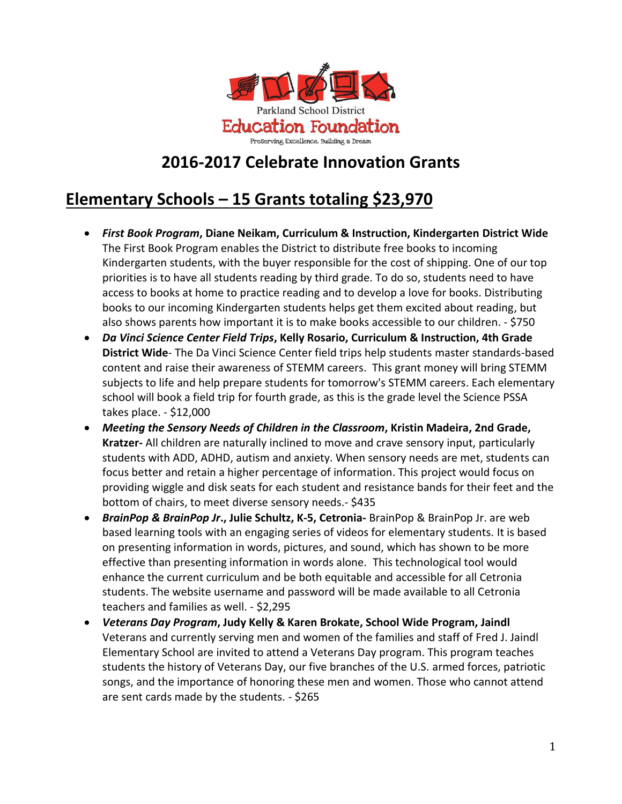

#### **2016-2017 Celebrate Innovation Grants**

### **Elementary Schools – 15 Grants totaling \$23,970**

- *First Book Program***, Diane Neikam, Curriculum & Instruction, Kindergarten District Wide**  The First Book Program enables the District to distribute free books to incoming Kindergarten students, with the buyer responsible for the cost of shipping. One of our top priorities is to have all students reading by third grade. To do so, students need to have access to books at home to practice reading and to develop a love for books. Distributing books to our incoming Kindergarten students helps get them excited about reading, but also shows parents how important it is to make books accessible to our children. - \$750
- *Da Vinci Science Center Field Trips***, Kelly Rosario, Curriculum & Instruction, 4th Grade District Wide**- The Da Vinci Science Center field trips help students master standards-based content and raise their awareness of STEMM careers. This grant money will bring STEMM subjects to life and help prepare students for tomorrow's STEMM careers. Each elementary school will book a field trip for fourth grade, as this is the grade level the Science PSSA takes place. - \$12,000
- *Meeting the Sensory Needs of Children in the Classroom***, Kristin Madeira, 2nd Grade, Kratzer-** All children are naturally inclined to move and crave sensory input, particularly students with ADD, ADHD, autism and anxiety. When sensory needs are met, students can focus better and retain a higher percentage of information. This project would focus on providing wiggle and disk seats for each student and resistance bands for their feet and the bottom of chairs, to meet diverse sensory needs.- \$435
- *BrainPop & BrainPop Jr***., Julie Schultz, K-5, Cetronia-** BrainPop & BrainPop Jr. are web based learning tools with an engaging series of videos for elementary students. It is based on presenting information in words, pictures, and sound, which has shown to be more effective than presenting information in words alone. This technological tool would enhance the current curriculum and be both equitable and accessible for all Cetronia students. The website username and password will be made available to all Cetronia teachers and families as well. - \$2,295
- *Veterans Day Program***, Judy Kelly & Karen Brokate, School Wide Program, Jaindl** Veterans and currently serving men and women of the families and staff of Fred J. Jaindl Elementary School are invited to attend a Veterans Day program. This program teaches students the history of Veterans Day, our five branches of the U.S. armed forces, patriotic songs, and the importance of honoring these men and women. Those who cannot attend are sent cards made by the students. - \$265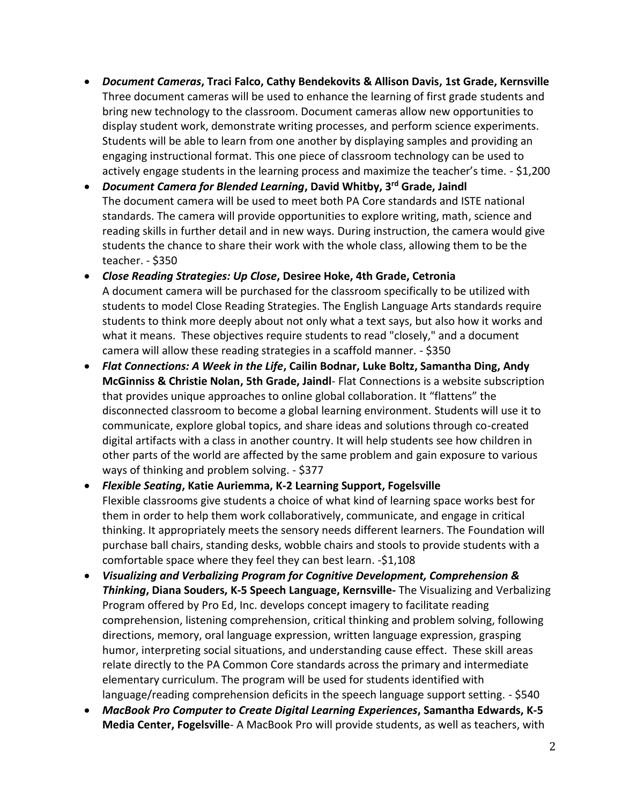- *Document Cameras***, Traci Falco, Cathy Bendekovits & Allison Davis, 1st Grade, Kernsville** Three document cameras will be used to enhance the learning of first grade students and bring new technology to the classroom. Document cameras allow new opportunities to display student work, demonstrate writing processes, and perform science experiments. Students will be able to learn from one another by displaying samples and providing an engaging instructional format. This one piece of classroom technology can be used to actively engage students in the learning process and maximize the teacher's time. - \$1,200
- *Document Camera for Blended Learning***, David Whitby, 3rd Grade, Jaindl** The document camera will be used to meet both PA Core standards and ISTE national standards. The camera will provide opportunities to explore writing, math, science and reading skills in further detail and in new ways. During instruction, the camera would give students the chance to share their work with the whole class, allowing them to be the teacher. - \$350
- *Close Reading Strategies: Up Close***, Desiree Hoke, 4th Grade, Cetronia**  A document camera will be purchased for the classroom specifically to be utilized with students to model Close Reading Strategies. The English Language Arts standards require students to think more deeply about not only what a text says, but also how it works and what it means. These objectives require students to read "closely," and a document camera will allow these reading strategies in a scaffold manner. - \$350
- *Flat Connections: A Week in the Life***, Cailin Bodnar, Luke Boltz, Samantha Ding, Andy McGinniss & Christie Nolan, 5th Grade, Jaindl**- Flat Connections is a website subscription that provides unique approaches to online global collaboration. It "flattens" the disconnected classroom to become a global learning environment. Students will use it to communicate, explore global topics, and share ideas and solutions through co-created digital artifacts with a class in another country. It will help students see how children in other parts of the world are affected by the same problem and gain exposure to various ways of thinking and problem solving. - \$377
- *Flexible Seating***, Katie Auriemma, K-2 Learning Support, Fogelsville**  Flexible classrooms give students a choice of what kind of learning space works best for them in order to help them work collaboratively, communicate, and engage in critical thinking. It appropriately meets the sensory needs different learners. The Foundation will purchase ball chairs, standing desks, wobble chairs and stools to provide students with a comfortable space where they feel they can best learn. -\$1,108
- *Visualizing and Verbalizing Program for Cognitive Development, Comprehension & Thinking***, Diana Souders, K-5 Speech Language, Kernsville-** The Visualizing and Verbalizing Program offered by Pro Ed, Inc. develops concept imagery to facilitate reading comprehension, listening comprehension, critical thinking and problem solving, following directions, memory, oral language expression, written language expression, grasping humor, interpreting social situations, and understanding cause effect. These skill areas relate directly to the PA Common Core standards across the primary and intermediate elementary curriculum. The program will be used for students identified with language/reading comprehension deficits in the speech language support setting. - \$540
- *MacBook Pro Computer to Create Digital Learning Experiences***, Samantha Edwards, K-5 Media Center, Fogelsville**- A MacBook Pro will provide students, as well as teachers, with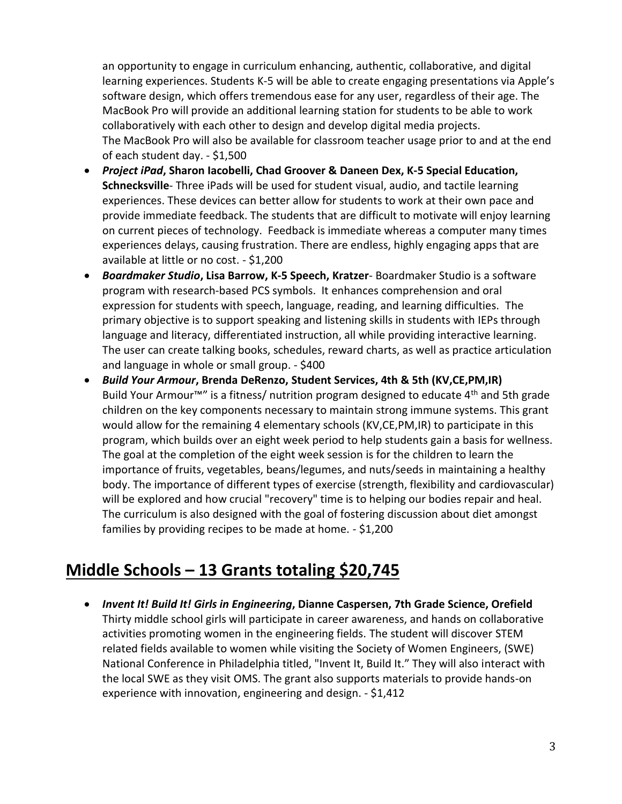an opportunity to engage in curriculum enhancing, authentic, collaborative, and digital learning experiences. Students K-5 will be able to create engaging presentations via Apple's software design, which offers tremendous ease for any user, regardless of their age. The MacBook Pro will provide an additional learning station for students to be able to work collaboratively with each other to design and develop digital media projects. The MacBook Pro will also be available for classroom teacher usage prior to and at the end of each student day. - \$1,500

- *Project iPad***, Sharon Iacobelli, Chad Groover & Daneen Dex, K-5 Special Education, Schnecksville**- Three iPads will be used for student visual, audio, and tactile learning experiences. These devices can better allow for students to work at their own pace and provide immediate feedback. The students that are difficult to motivate will enjoy learning on current pieces of technology. Feedback is immediate whereas a computer many times experiences delays, causing frustration. There are endless, highly engaging apps that are available at little or no cost. - \$1,200
- *Boardmaker Studio***, Lisa Barrow, K-5 Speech, Kratzer** Boardmaker Studio is a software program with research-based PCS symbols. It enhances comprehension and oral expression for students with speech, language, reading, and learning difficulties. The primary objective is to support speaking and listening skills in students with IEPs through language and literacy, differentiated instruction, all while providing interactive learning. The user can create talking books, schedules, reward charts, as well as practice articulation and language in whole or small group. - \$400
- *Build Your Armour***, Brenda DeRenzo, Student Services, 4th & 5th (KV,CE,PM,IR)** Build Your Armour<sup>™</sup> is a fitness/ nutrition program designed to educate 4<sup>th</sup> and 5th grade children on the key components necessary to maintain strong immune systems. This grant would allow for the remaining 4 elementary schools (KV,CE,PM,IR) to participate in this program, which builds over an eight week period to help students gain a basis for wellness. The goal at the completion of the eight week session is for the children to learn the importance of fruits, vegetables, beans/legumes, and nuts/seeds in maintaining a healthy body. The importance of different types of exercise (strength, flexibility and cardiovascular) will be explored and how crucial "recovery" time is to helping our bodies repair and heal. The curriculum is also designed with the goal of fostering discussion about diet amongst families by providing recipes to be made at home. - \$1,200

### **Middle Schools – 13 Grants totaling \$20,745**

 *Invent It! Build It! Girls in Engineering***, Dianne Caspersen, 7th Grade Science, Orefield**  Thirty middle school girls will participate in career awareness, and hands on collaborative activities promoting women in the engineering fields. The student will discover STEM related fields available to women while visiting the Society of Women Engineers, (SWE) National Conference in Philadelphia titled, "Invent It, Build It." They will also interact with the local SWE as they visit OMS. The grant also supports materials to provide hands-on experience with innovation, engineering and design. - \$1,412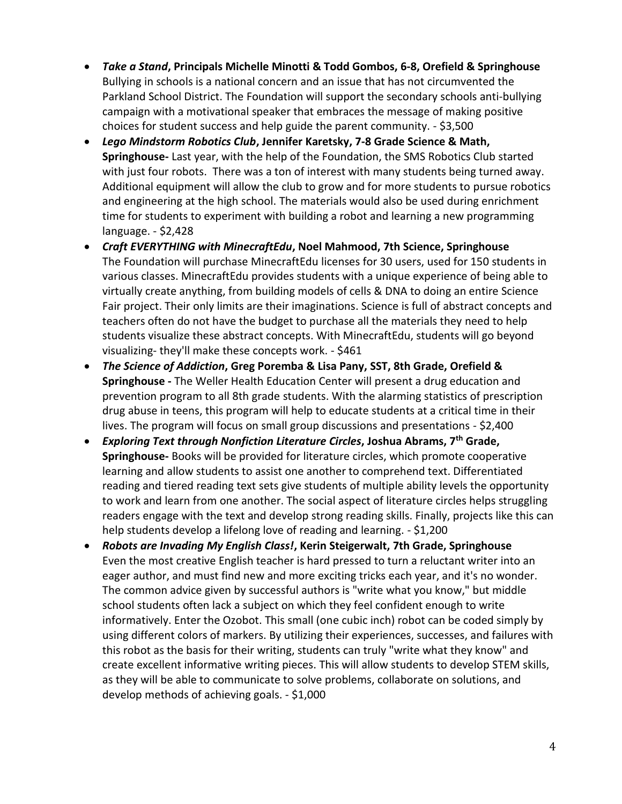- *Take a Stand***, Principals Michelle Minotti & Todd Gombos, 6-8, Orefield & Springhouse** Bullying in schools is a national concern and an issue that has not circumvented the Parkland School District. The Foundation will support the secondary schools anti-bullying campaign with a motivational speaker that embraces the message of making positive choices for student success and help guide the parent community. - \$3,500
- *Lego Mindstorm Robotics Club***, Jennifer Karetsky, 7-8 Grade Science & Math, Springhouse-** Last year, with the help of the Foundation, the SMS Robotics Club started with just four robots. There was a ton of interest with many students being turned away. Additional equipment will allow the club to grow and for more students to pursue robotics and engineering at the high school. The materials would also be used during enrichment time for students to experiment with building a robot and learning a new programming language. - \$2,428
- *Craft EVERYTHING with MinecraftEdu***, Noel Mahmood, 7th Science, Springhouse**  The Foundation will purchase MinecraftEdu licenses for 30 users, used for 150 students in various classes. MinecraftEdu provides students with a unique experience of being able to virtually create anything, from building models of cells & DNA to doing an entire Science Fair project. Their only limits are their imaginations. Science is full of abstract concepts and teachers often do not have the budget to purchase all the materials they need to help students visualize these abstract concepts. With MinecraftEdu, students will go beyond visualizing- they'll make these concepts work. - \$461
- *The Science of Addiction***, Greg Poremba & Lisa Pany, SST, 8th Grade, Orefield & Springhouse -** The Weller Health Education Center will present a drug education and prevention program to all 8th grade students. With the alarming statistics of prescription drug abuse in teens, this program will help to educate students at a critical time in their lives. The program will focus on small group discussions and presentations - \$2,400
- *Exploring Text through Nonfiction Literature Circles***, Joshua Abrams, 7th Grade, Springhouse-** Books will be provided for literature circles, which promote cooperative learning and allow students to assist one another to comprehend text. Differentiated reading and tiered reading text sets give students of multiple ability levels the opportunity to work and learn from one another. The social aspect of literature circles helps struggling readers engage with the text and develop strong reading skills. Finally, projects like this can help students develop a lifelong love of reading and learning. - \$1,200
- *Robots are Invading My English Class!***, Kerin Steigerwalt, 7th Grade, Springhouse** Even the most creative English teacher is hard pressed to turn a reluctant writer into an eager author, and must find new and more exciting tricks each year, and it's no wonder. The common advice given by successful authors is "write what you know," but middle school students often lack a subject on which they feel confident enough to write informatively. Enter the Ozobot. This small (one cubic inch) robot can be coded simply by using different colors of markers. By utilizing their experiences, successes, and failures with this robot as the basis for their writing, students can truly "write what they know" and create excellent informative writing pieces. This will allow students to develop STEM skills, as they will be able to communicate to solve problems, collaborate on solutions, and develop methods of achieving goals. - \$1,000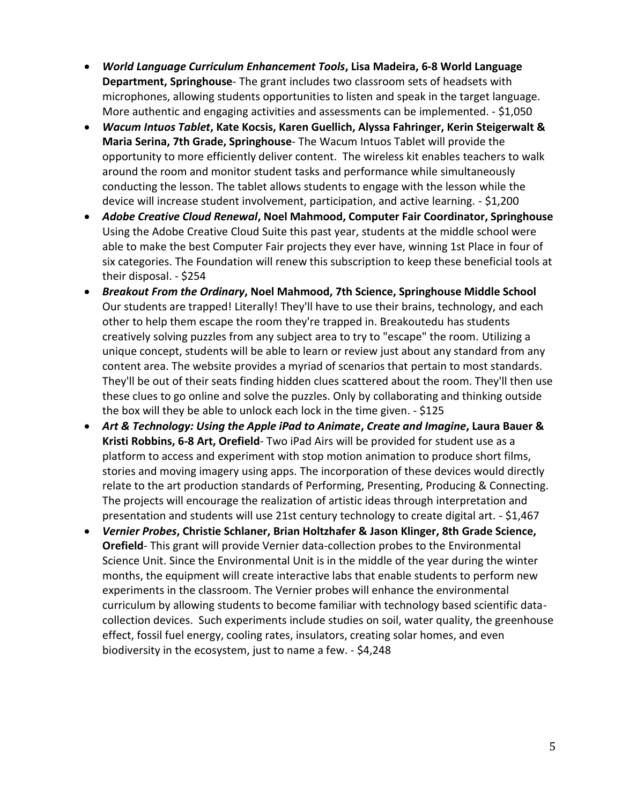- *World Language Curriculum Enhancement Tools***, Lisa Madeira, 6-8 World Language Department, Springhouse**- The grant includes two classroom sets of headsets with microphones, allowing students opportunities to listen and speak in the target language. More authentic and engaging activities and assessments can be implemented. - \$1,050
- *Wacum Intuos Tablet***, Kate Kocsis, Karen Guellich, Alyssa Fahringer, Kerin Steigerwalt & Maria Serina, 7th Grade, Springhouse**- The Wacum Intuos Tablet will provide the opportunity to more efficiently deliver content. The wireless kit enables teachers to walk around the room and monitor student tasks and performance while simultaneously conducting the lesson. The tablet allows students to engage with the lesson while the device will increase student involvement, participation, and active learning. - \$1,200
- *Adobe Creative Cloud Renewal***, Noel Mahmood, Computer Fair Coordinator, Springhouse**  Using the Adobe Creative Cloud Suite this past year, students at the middle school were able to make the best Computer Fair projects they ever have, winning 1st Place in four of six categories. The Foundation will renew this subscription to keep these beneficial tools at their disposal. - \$254
- *Breakout From the Ordinary***, Noel Mahmood, 7th Science, Springhouse Middle School** Our students are trapped! Literally! They'll have to use their brains, technology, and each other to help them escape the room they're trapped in. Breakoutedu has students creatively solving puzzles from any subject area to try to "escape" the room. Utilizing a unique concept, students will be able to learn or review just about any standard from any content area. The website provides a myriad of scenarios that pertain to most standards. They'll be out of their seats finding hidden clues scattered about the room. They'll then use these clues to go online and solve the puzzles. Only by collaborating and thinking outside the box will they be able to unlock each lock in the time given. - \$125
- *Art & Technology: Using the Apple iPad to Animate***,** *Create and Imagine***, Laura Bauer & Kristi Robbins, 6-8 Art, Orefield**- Two iPad Airs will be provided for student use as a platform to access and experiment with stop motion animation to produce short films, stories and moving imagery using apps. The incorporation of these devices would directly relate to the art production standards of Performing, Presenting, Producing & Connecting. The projects will encourage the realization of artistic ideas through interpretation and presentation and students will use 21st century technology to create digital art. - \$1,467
- *Vernier Probes***, Christie Schlaner, Brian Holtzhafer & Jason Klinger, 8th Grade Science, Orefield**- This grant will provide Vernier data-collection probes to the Environmental Science Unit. Since the Environmental Unit is in the middle of the year during the winter months, the equipment will create interactive labs that enable students to perform new experiments in the classroom. The Vernier probes will enhance the environmental curriculum by allowing students to become familiar with technology based scientific datacollection devices. Such experiments include studies on soil, water quality, the greenhouse effect, fossil fuel energy, cooling rates, insulators, creating solar homes, and even biodiversity in the ecosystem, just to name a few. - \$4,248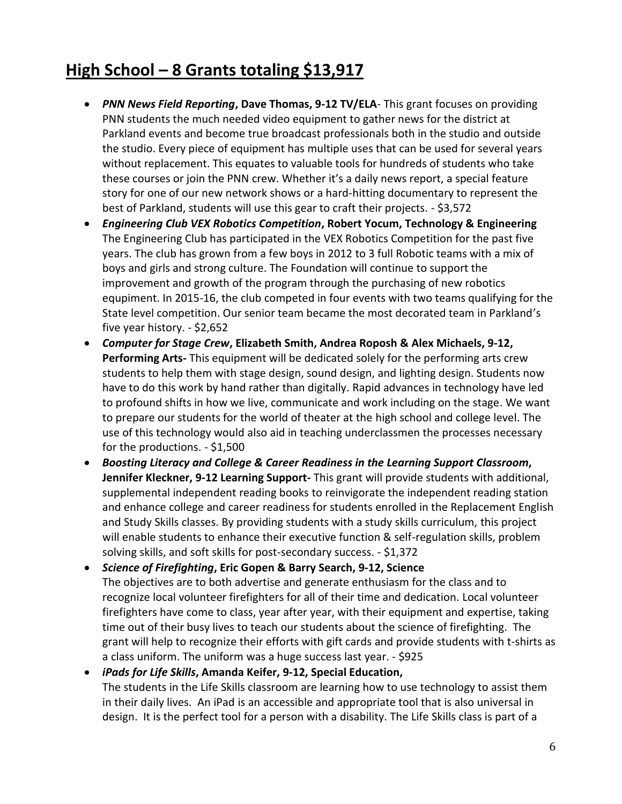# **High School – 8 Grants totaling \$13,917**

- *PNN News Field Reporting***, Dave Thomas, 9-12 TV/ELA** This grant focuses on providing PNN students the much needed video equipment to gather news for the district at Parkland events and become true broadcast professionals both in the studio and outside the studio. Every piece of equipment has multiple uses that can be used for several years without replacement. This equates to valuable tools for hundreds of students who take these courses or join the PNN crew. Whether it's a daily news report, a special feature story for one of our new network shows or a hard-hitting documentary to represent the best of Parkland, students will use this gear to craft their projects. - \$3,572
- *Engineering Club VEX Robotics Competition***, Robert Yocum, Technology & Engineering** The Engineering Club has participated in the VEX Robotics Competition for the past five years. The club has grown from a few boys in 2012 to 3 full Robotic teams with a mix of boys and girls and strong culture. The Foundation will continue to support the improvement and growth of the program through the purchasing of new robotics equpiment. In 2015-16, the club competed in four events with two teams qualifying for the State level competition. Our senior team became the most decorated team in Parkland's five year history. - \$2,652
- *Computer for Stage Crew***, Elizabeth Smith, Andrea Roposh & Alex Michaels, 9-12, Performing Arts-** This equipment will be dedicated solely for the performing arts crew students to help them with stage design, sound design, and lighting design. Students now have to do this work by hand rather than digitally. Rapid advances in technology have led to profound shifts in how we live, communicate and work including on the stage. We want to prepare our students for the world of theater at the high school and college level. The use of this technology would also aid in teaching underclassmen the processes necessary for the productions. - \$1,500
- *Boosting Literacy and College & Career Readiness in the Learning Support Classroom***, Jennifer Kleckner, 9-12 Learning Support-** This grant will provide students with additional, supplemental independent reading books to reinvigorate the independent reading station and enhance college and career readiness for students enrolled in the Replacement English and Study Skills classes. By providing students with a study skills curriculum, this project will enable students to enhance their executive function & self-regulation skills, problem solving skills, and soft skills for post-secondary success. - \$1,372

 *Science of Firefighting***, Eric Gopen & Barry Search, 9-12, Science**  The objectives are to both advertise and generate enthusiasm for the class and to recognize local volunteer firefighters for all of their time and dedication. Local volunteer firefighters have come to class, year after year, with their equipment and expertise, taking time out of their busy lives to teach our students about the science of firefighting. The grant will help to recognize their efforts with gift cards and provide students with t-shirts as a class uniform. The uniform was a huge success last year. - \$925

 *iPads for Life Skills***, Amanda Keifer, 9-12, Special Education,**  The students in the Life Skills classroom are learning how to use technology to assist them in their daily lives. An iPad is an accessible and appropriate tool that is also universal in design. It is the perfect tool for a person with a disability. The Life Skills class is part of a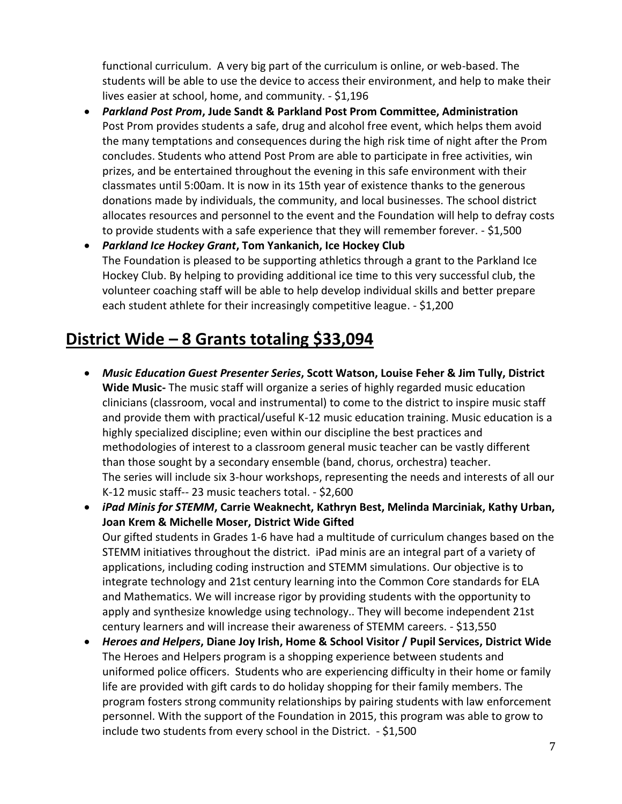functional curriculum. A very big part of the curriculum is online, or web-based. The students will be able to use the device to access their environment, and help to make their lives easier at school, home, and community. - \$1,196

- *Parkland Post Prom***, Jude Sandt & Parkland Post Prom Committee, Administration** Post Prom provides students a safe, drug and alcohol free event, which helps them avoid the many temptations and consequences during the high risk time of night after the Prom concludes. Students who attend Post Prom are able to participate in free activities, win prizes, and be entertained throughout the evening in this safe environment with their classmates until 5:00am. It is now in its 15th year of existence thanks to the generous donations made by individuals, the community, and local businesses. The school district allocates resources and personnel to the event and the Foundation will help to defray costs to provide students with a safe experience that they will remember forever. - \$1,500
- *Parkland Ice Hockey Grant***, Tom Yankanich, Ice Hockey Club** The Foundation is pleased to be supporting athletics through a grant to the Parkland Ice Hockey Club. By helping to providing additional ice time to this very successful club, the volunteer coaching staff will be able to help develop individual skills and better prepare each student athlete for their increasingly competitive league. - \$1,200

## **District Wide – 8 Grants totaling \$33,094**

- *Music Education Guest Presenter Series***, Scott Watson, Louise Feher & Jim Tully, District Wide Music-** The music staff will organize a series of highly regarded music education clinicians (classroom, vocal and instrumental) to come to the district to inspire music staff and provide them with practical/useful K-12 music education training. Music education is a highly specialized discipline; even within our discipline the best practices and methodologies of interest to a classroom general music teacher can be vastly different than those sought by a secondary ensemble (band, chorus, orchestra) teacher. The series will include six 3-hour workshops, representing the needs and interests of all our K-12 music staff-- 23 music teachers total. - \$2,600
- *iPad Minis for STEMM***, Carrie Weaknecht, Kathryn Best, Melinda Marciniak, Kathy Urban, Joan Krem & Michelle Moser, District Wide Gifted** Our gifted students in Grades 1-6 have had a multitude of curriculum changes based on the STEMM initiatives throughout the district. iPad minis are an integral part of a variety of applications, including coding instruction and STEMM simulations. Our objective is to integrate technology and 21st century learning into the Common Core standards for ELA and Mathematics. We will increase rigor by providing students with the opportunity to apply and synthesize knowledge using technology.. They will become independent 21st century learners and will increase their awareness of STEMM careers. - \$13,550
- *Heroes and Helpers***, Diane Joy Irish, Home & School Visitor / Pupil Services, District Wide** The Heroes and Helpers program is a shopping experience between students and uniformed police officers. Students who are experiencing difficulty in their home or family life are provided with gift cards to do holiday shopping for their family members. The program fosters strong community relationships by pairing students with law enforcement personnel. With the support of the Foundation in 2015, this program was able to grow to include two students from every school in the District. - \$1,500